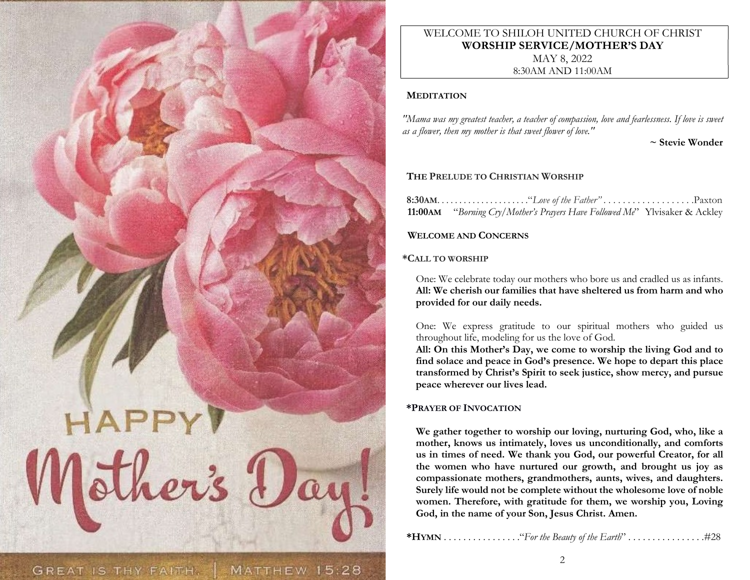

# WELCOME TO SHILOH UNITED CHURCH OF CHRIST WORSHIP SERVICE/MOTHER'S DAY MAY 8, 2022

8:30AM AND 11:00AM

## **MEDITATION**

"Mama was my greatest teacher, a teacher of compassion, love and fearlessness. If love is sweet as a flower, then my mother is that sweet flower of love."

~ Stevie Wonder

# THE PRELUDE TO CHRISTIAN WORSHIP

| <b>11:00AM</b> "Borning Cry/Mother's Prayers Have Followed Me" Ylvisaker & Ackley |  |
|-----------------------------------------------------------------------------------|--|

# WELCOME AND CONCERNS

## \*CALL TO WORSHIP

One: We celebrate today our mothers who bore us and cradled us as infants. All: We cherish our families that have sheltered us from harm and who provided for our daily needs.

One: We express gratitude to our spiritual mothers who guided us throughout life, modeling for us the love of God.

All: On this Mother's Day, we come to worship the living God and to find solace and peace in God's presence. We hope to depart this place transformed by Christ's Spirit to seek justice, show mercy, and pursue peace wherever our lives lead.

# \*PRAYER OF INVOCATION

We gather together to worship our loving, nurturing God, who, like a mother, knows us intimately, loves us unconditionally, and comforts us in times of need. We thank you God, our powerful Creator, for all the women who have nurtured our growth, and brought us joy as compassionate mothers, grandmothers, aunts, wives, and daughters. Surely life would not be complete without the wholesome love of noble women. Therefore, with gratitude for them, we worship you, Loving God, in the name of your Son, Jesus Christ. Amen.

\*HYMN . . . . . . . . . . . . . . . ."For the Beauty of the Earth" . . . . . . . . . . . . . . . .#28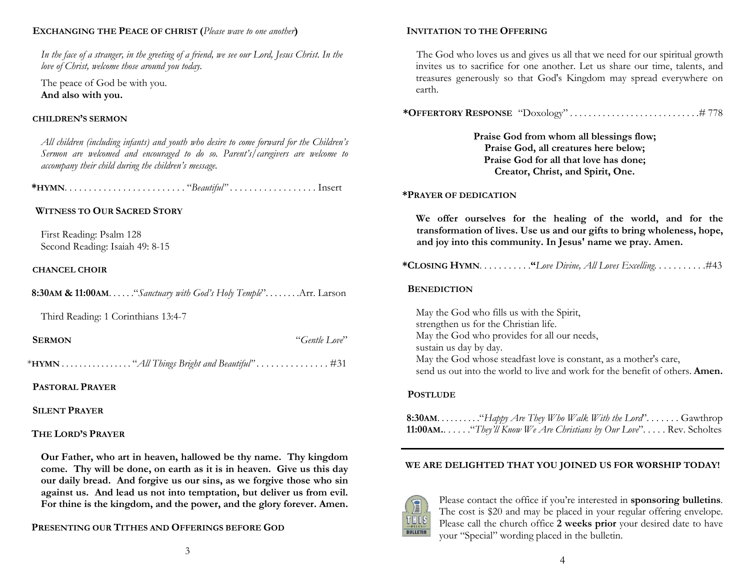### EXCHANGING THE PEACE OF CHRIST (Please wave to one another)

In the face of a stranger, in the greeting of a friend, we see our Lord, Jesus Christ. In the love of Christ, welcome those around you today.

The peace of God be with you. And also with you.

### CHILDREN'S SERMON

All children (including infants) and youth who desire to come forward for the Children's Sermon are welcomed and encouraged to do so. Parent's/caregivers are welcome to accompany their child during the children's message.

\*HYMN. . . . . . . . . . . . . . . . . . . . . . . . . "Beautiful" . . . . . . . . . . . . . . . . . . Insert

### WITNESS TO OUR SACRED STORY

First Reading: Psalm 128 Second Reading: Isaiah 49: 8-15

#### CHANCEL CHOIR

| <b>8:30AM &amp; 11:00AM.</b> "Sanctuary with God's Holy Temple" Arr. Larson |  |  |  |
|-----------------------------------------------------------------------------|--|--|--|
|-----------------------------------------------------------------------------|--|--|--|

Third Reading: 1 Corinthians 13:4-7

| <b>SERMON</b> | "Gentle Love" |
|---------------|---------------|
|---------------|---------------|

\*HYMN . . . . . . . . . . . . . . . . "All Things Bright and Beautiful" . . . . . . . . . . . . . . . #31

### PASTORAL PRAYER

### SILENT PRAYER

#### THE LORD'S PRAYER

Our Father, who art in heaven, hallowed be thy name. Thy kingdom come. Thy will be done, on earth as it is in heaven. Give us this day our daily bread. And forgive us our sins, as we forgive those who sin against us. And lead us not into temptation, but deliver us from evil. For thine is the kingdom, and the power, and the glory forever. Amen.

PRESENTING OUR TITHES AND OFFERINGS BEFORE GOD

### INVITATION TO THE OFFERING

The God who loves us and gives us all that we need for our spiritual growth invites us to sacrifice for one another. Let us share our time, talents, and treasures generously so that God's Kingdom may spread everywhere on earth.

\*OFFERTORY RESPONSE "Doxology" . . . . . . . . . . . . . . . . . . . . . . . . . . . .# 778

Praise God from whom all blessings flow; Praise God, all creatures here below; Praise God for all that love has done; Creator, Christ, and Spirit, One.

#### \*PRAYER OF DEDICATION

We offer ourselves for the healing of the world, and for the transformation of lives. Use us and our gifts to bring wholeness, hope, and joy into this community. In Jesus' name we pray. Amen.

\*CLOSING HYMN. . . . . . . . . . ."Love Divine, All Loves Excelling. . . . . . . . . . .#43

#### **BENEDICTION**

May the God who fills us with the Spirit, strengthen us for the Christian life. May the God who provides for all our needs, sustain us day by day. May the God whose steadfast love is constant, as a mother's care, send us out into the world to live and work for the benefit of others. **Amen.** 

#### **POSTLUDE**

8:30AM. . . . . . . . . . "Happy Are They Who Walk With the Lord". . . . . . . Gawthrop **11:00AM..** . . . . . "They'll Know We Are Christians by Our Love". . . . . Rev. Scholtes

#### WE ARE DELIGHTED THAT YOU JOINED US FOR WORSHIP TODAY!



Please contact the office if you're interested in sponsoring bulletins. The cost is \$20 and may be placed in your regular offering envelope. Please call the church office 2 weeks prior your desired date to have your "Special" wording placed in the bulletin.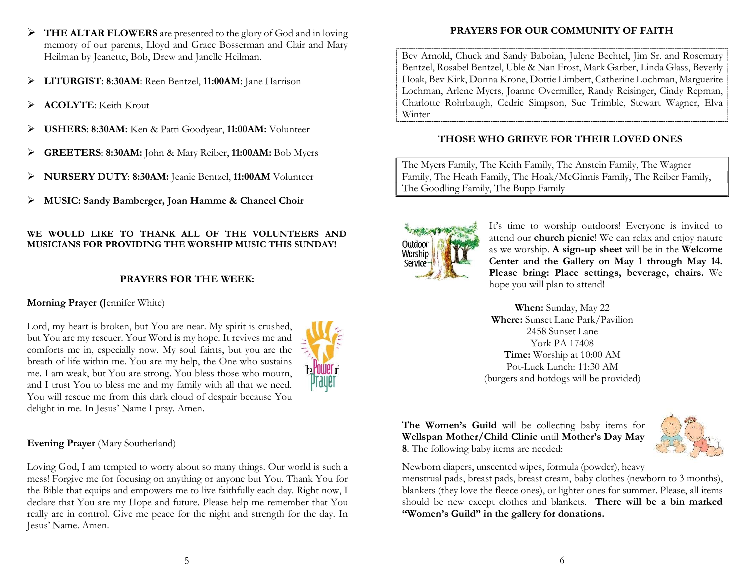- $\triangleright$  **THE ALTAR FLOWERS** are presented to the glory of God and in loving memory of our parents, Lloyd and Grace Bosserman and Clair and Mary Heilman by Jeanette, Bob, Drew and Janelle Heilman.
- LITURGIST: 8:30AM: Reen Bentzel, 11:00AM: Jane Harrison
- > ACOLYTE: Keith Krout
- USHERS: 8:30AM: Ken & Patti Goodyear, 11:00AM: Volunteer
- GREETERS: 8:30AM: John & Mary Reiber, 11:00AM: Bob Myers
- NURSERY DUTY: 8:30AM: Jeanie Bentzel, 11:00AM Volunteer
- MUSIC: Sandy Bamberger, Joan Hamme & Chancel Choir

## WE WOULD LIKE TO THANK ALL OF THE VOLUNTEERS AND MUSICIANS FOR PROVIDING THE WORSHIP MUSIC THIS SUNDAY!

# PRAYERS FOR THE WEEK:

# Morning Prayer (Jennifer White)

Lord, my heart is broken, but You are near. My spirit is crushed, but You are my rescuer. Your Word is my hope. It revives me and comforts me in, especially now. My soul faints, but you are the breath of life within me. You are my help, the One who sustains me. I am weak, but You are strong. You bless those who mourn, and I trust You to bless me and my family with all that we need. You will rescue me from this dark cloud of despair because You delight in me. In Jesus' Name I pray. Amen.



# Evening Prayer (Mary Southerland)

Loving God, I am tempted to worry about so many things. Our world is such a mess! Forgive me for focusing on anything or anyone but You. Thank You for the Bible that equips and empowers me to live faithfully each day. Right now, I declare that You are my Hope and future. Please help me remember that You really are in control. Give me peace for the night and strength for the day. In Jesus' Name. Amen.

# PRAYERS FOR OUR COMMUNITY OF FAITH

Bev Arnold, Chuck and Sandy Baboian, Julene Bechtel, Jim Sr. and Rosemary Bentzel, Rosabel Bentzel, Uble & Nan Frost, Mark Garber, Linda Glass, Beverly Hoak, Bev Kirk, Donna Krone, Dottie Limbert, Catherine Lochman, Marguerite Lochman, Arlene Myers, Joanne Overmiller, Randy Reisinger, Cindy Repman, Charlotte Rohrbaugh, Cedric Simpson, Sue Trimble, Stewart Wagner, Elva Winter

# THOSE WHO GRIEVE FOR THEIR LOVED ONES

The Myers Family, The Keith Family, The Anstein Family, The Wagner Family, The Heath Family, The Hoak/McGinnis Family, The Reiber Family, The Goodling Family, The Bupp Family



It's time to worship outdoors! Everyone is invited to attend our church picnic! We can relax and enjoy nature as we worship. A sign-up sheet will be in the Welcome Center and the Gallery on May 1 through May 14. Please bring: Place settings, beverage, chairs. We hope you will plan to attend!

When: Sunday, May 22 Where: Sunset Lane Park/Pavilion 2458 Sunset Lane York PA 17408 Time: Worship at 10:00 AM Pot-Luck Lunch: 11:30 AM (burgers and hotdogs will be provided)

The Women's Guild will be collecting baby items for Wellspan Mother/Child Clinic until Mother's Day May 8. The following baby items are needed:



Newborn diapers, unscented wipes, formula (powder), heavy

menstrual pads, breast pads, breast cream, baby clothes (newborn to 3 months), blankets (they love the fleece ones), or lighter ones for summer. Please, all items should be new except clothes and blankets. There will be a bin marked "Women's Guild" in the gallery for donations.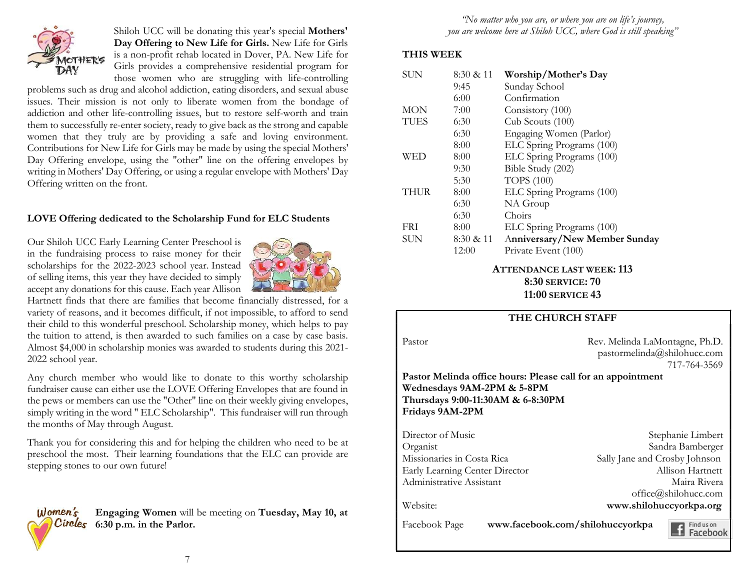

Shiloh UCC will be donating this year's special Mothers' Day Offering to New Life for Girls. New Life for Girls is a non-profit rehab located in Dover, PA. New Life for Girls provides a comprehensive residential program for those women who are struggling with life-controlling

problems such as drug and alcohol addiction, eating disorders, and sexual abuse issues. Their mission is not only to liberate women from the bondage of addiction and other life-controlling issues, but to restore self-worth and train them to successfully re-enter society, ready to give back as the strong and capable women that they truly are by providing a safe and loving environment. Contributions for New Life for Girls may be made by using the special Mothers' Day Offering envelope, using the "other" line on the offering envelopes by writing in Mothers' Day Offering, or using a regular envelope with Mothers' Day Offering written on the front.

## LOVE Offering dedicated to the Scholarship Fund for ELC Students

Our Shiloh UCC Early Learning Center Preschool is in the fundraising process to raise money for their scholarships for the 2022-2023 school year. Instead of selling items, this year they have decided to simply accept any donations for this cause. Each year Allison



Hartnett finds that there are families that become financially distressed, for a variety of reasons, and it becomes difficult, if not impossible, to afford to send their child to this wonderful preschool. Scholarship money, which helps to pay the tuition to attend, is then awarded to such families on a case by case basis. Almost \$4,000 in scholarship monies was awarded to students during this 2021- 2022 school year.

Any church member who would like to donate to this worthy scholarship fundraiser cause can either use the LOVE Offering Envelopes that are found in the pews or members can use the "Other" line on their weekly giving envelopes, simply writing in the word " ELC Scholarship". This fundraiser will run through the months of May through August.

Thank you for considering this and for helping the children who need to be at preschool the most. Their learning foundations that the ELC can provide are stepping stones to our own future!

 $Women's$ Engaging Women will be meeting on Tuesday, May 10, at **Circles** 6:30 p.m. in the Parlor.

"No matter who you are, or where you are on life's journey, you are welcome here at Shiloh UCC, where God is still speaking"

## THIS WEEK

| <b>SUN</b>  | 8:30 & 11 | Worship/Mother's Day          |
|-------------|-----------|-------------------------------|
|             | 9:45      | Sunday School                 |
|             | 6:00      | Confirmation                  |
| <b>MON</b>  | 7:00      | Consistory (100)              |
| <b>TUES</b> | 6:30      | Cub Scouts (100)              |
|             | 6:30      | Engaging Women (Parlor)       |
|             | 8:00      | ELC Spring Programs (100)     |
| WED         | 8:00      | ELC Spring Programs (100)     |
|             | 9:30      | Bible Study (202)             |
|             | 5:30      | <b>TOPS</b> (100)             |
| <b>THUR</b> | 8:00      | ELC Spring Programs (100)     |
|             | 6:30      | NA Group                      |
|             | 6:30      | Choirs                        |
| <b>FRI</b>  | 8:00      | ELC Spring Programs (100)     |
| SUN         | 8:30 & 11 | Anniversary/New Member Sunday |
|             | 12:00     | Private Event (100)           |

## ATTENDANCE LAST WEEK: 113 8:30 SERVICE: 70 11:00 SERVICE 43

## THE CHURCH STAFF

Pastor Rev. Melinda LaMontagne, Ph.D. pastormelinda@shilohucc.com 717-764-3569

### Pastor Melinda office hours: Please call for an appointment Wednesdays 9AM-2PM & 5-8PM Thursdays 9:00-11:30AM & 6-8:30PM Fridays 9AM-2PM

| Director of Music              | Stephanie Limbert             |  |
|--------------------------------|-------------------------------|--|
| Organist                       | Sandra Bamberger              |  |
| Missionaries in Costa Rica     | Sally Jane and Crosby Johnson |  |
| Early Learning Center Director | Allison Hartnett              |  |
| Administrative Assistant       | Maira Rivera                  |  |
|                                | office@shilohucc.com          |  |
| Website:                       | www.shilohuccyorkpa.org       |  |
| r 1 1 n                        |                               |  |

Facebook Page www.facebook.com/shilohuccyorkpa